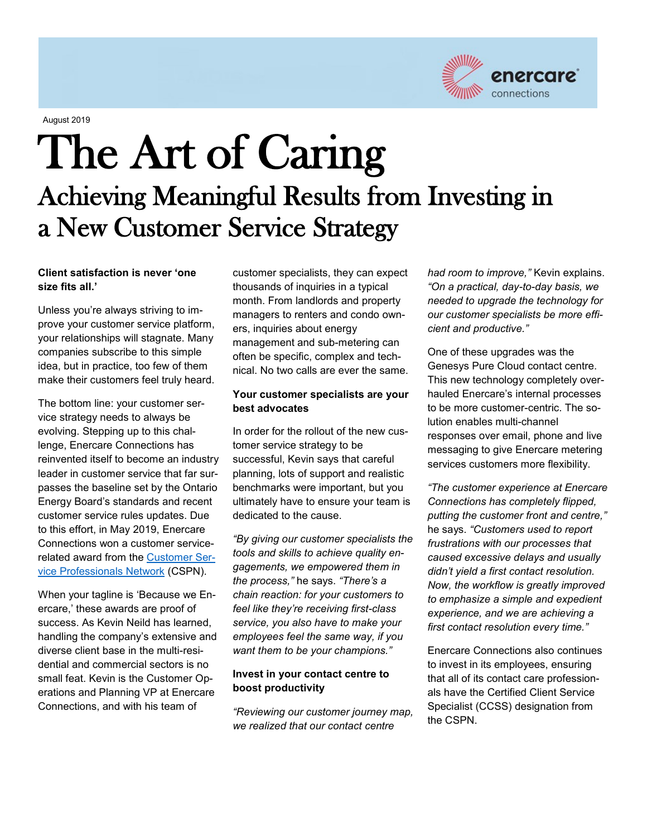

August 2019

# The Art of Caring Achieving Meaningful Results from Investing in a New Customer Service Strategy

#### Client satisfaction is never 'one size fits all.'

Unless you're always striving to improve your customer service platform, your relationships will stagnate. Many companies subscribe to this simple idea, but in practice, too few of them make their customers feel truly heard.

The bottom line: your customer service strategy needs to always be evolving. Stepping up to this challenge, Enercare Connections has reinvented itself to become an industry leader in customer service that far surpasses the baseline set by the Ontario Energy Board's standards and recent customer service rules updates. Due to this effort, in May 2019, Enercare Connections won a customer servicerelated award from the [Customer Ser](https://myenercare.ca/content/forms/CSPN-2019-Conference-Press-Release.pdf)[vice Professionals Network](https://myenercare.ca/content/forms/CSPN-2019-Conference-Press-Release.pdf) (CSPN).

When your tagline is 'Because we Enercare,' these awards are proof of success. As Kevin Neild has learned, handling the company's extensive and diverse client base in the multi-residential and commercial sectors is no small feat. Kevin is the Customer Operations and Planning VP at Enercare Connections, and with his team of

customer specialists, they can expect thousands of inquiries in a typical month. From landlords and property managers to renters and condo owners, inquiries about energy management and sub-metering can often be specific, complex and technical. No two calls are ever the same.

#### Your customer specialists are your best advocates

In order for the rollout of the new customer service strategy to be successful, Kevin says that careful planning, lots of support and realistic benchmarks were important, but you ultimately have to ensure your team is dedicated to the cause.

*"By giving our customer specialists the tools and skills to achieve quality engagements, we empowered them in the process,"* he says. *"There's a chain reaction: for your customers to feel like they're receiving first-class service, you also have to make your employees feel the same way, if you want them to be your champions."*

### Invest in your contact centre to boost productivity

*"Reviewing our customer journey map, we realized that our contact centre* 

*had room to improve,"* Kevin explains. *"On a practical, day-to-day basis, we needed to upgrade the technology for our customer specialists be more efficient and productive."*

One of these upgrades was the Genesys Pure Cloud contact centre. This new technology completely overhauled Enercare's internal processes to be more customer-centric. The solution enables multi-channel responses over email, phone and live messaging to give Enercare metering services customers more flexibility.

*"The customer experience at Enercare Connections has completely flipped, putting the customer front and centre,"* he says. *"Customers used to report frustrations with our processes that caused excessive delays and usually didn't yield a first contact resolution. Now, the workflow is greatly improved to emphasize a simple and expedient experience, and we are achieving a first contact resolution every time."*

Enercare Connections also continues to invest in its employees, ensuring that all of its contact care professionals have the Certified Client Service Specialist (CCSS) designation from the CSPN.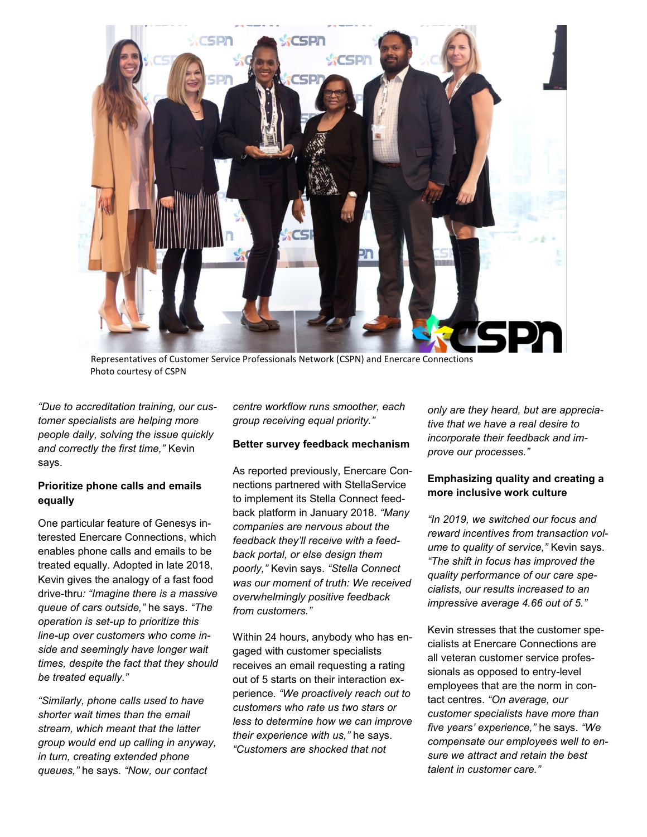

 Representatives of Customer Service Professionals Network (CSPN) and Enercare Connections Photo courtesy of CSPN

*"Due to accreditation training, our customer specialists are helping more people daily, solving the issue quickly and correctly the first time,"* Kevin says.

## Prioritize phone calls and emails equally

One particular feature of Genesys interested Enercare Connections, which enables phone calls and emails to be treated equally. Adopted in late 2018, Kevin gives the analogy of a fast food drive-thru*: "Imagine there is a massive queue of cars outside,"* he says. *"The operation is set-up to prioritize this line-up over customers who come inside and seemingly have longer wait times, despite the fact that they should be treated equally."*

*"Similarly, phone calls used to have shorter wait times than the email stream, which meant that the latter group would end up calling in anyway, in turn, creating extended phone queues,"* he says*. "Now, our contact* 

*centre workflow runs smoother, each group receiving equal priority."*

#### Better survey feedback mechanism

As reported previously, Enercare Connections partnered with StellaService to implement its Stella Connect feedback platform in January 2018. *"Many companies are nervous about the feedback they'll receive with a feedback portal, or else design them poorly,"* Kevin says. *"Stella Connect was our moment of truth: We received overwhelmingly positive feedback from customers."*

Within 24 hours, anybody who has engaged with customer specialists receives an email requesting a rating out of 5 starts on their interaction experience*. "We proactively reach out to customers who rate us two stars or less to determine how we can improve their experience with us,"* he says. *"Customers are shocked that not* 

*only are they heard, but are appreciative that we have a real desire to incorporate their feedback and improve our processes."*

# Emphasizing quality and creating a more inclusive work culture

*"In 2019, we switched our focus and reward incentives from transaction volume to quality of service,"* Kevin says. *"The shift in focus has improved the quality performance of our care specialists, our results increased to an impressive average 4.66 out of 5."*

Kevin stresses that the customer specialists at Enercare Connections are all veteran customer service professionals as opposed to entry-level employees that are the norm in contact centres. *"On average, our customer specialists have more than five years' experience,"* he says. *"We compensate our employees well to ensure we attract and retain the best talent in customer care."*